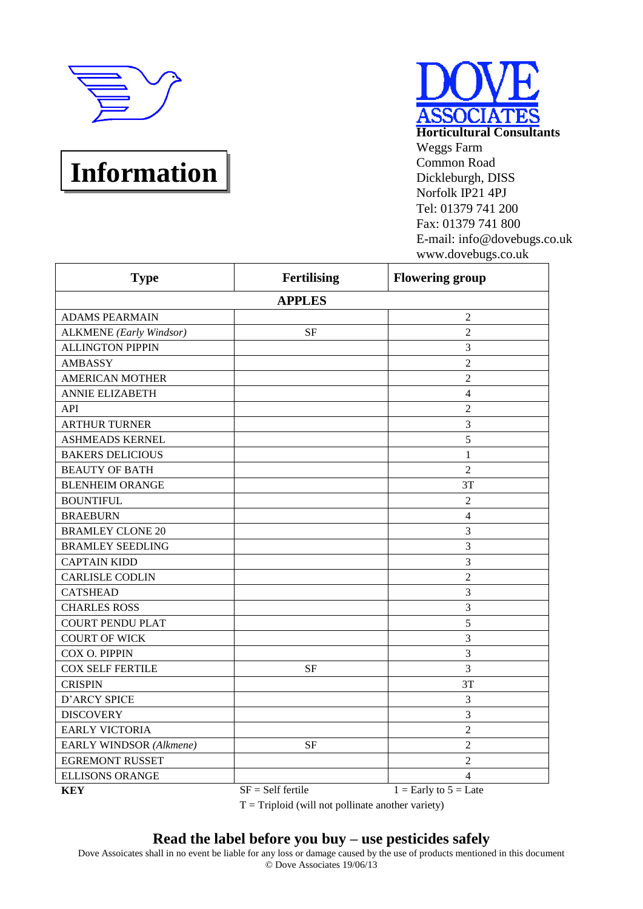

# **Information**

| SSOCIATES                        |
|----------------------------------|
| <b>Horticultural Consultants</b> |
| Weggs Farm                       |
| <b>Common Road</b>               |
| Dickleburgh, DISS                |
| Norfolk IP21 4PJ                 |
| Tel: 01379 741 200               |
| Fax: 01379 741 800               |
| E-mail: info@dovebugs.co.uk      |
| www.dovebugs.co.uk               |

| <b>Type</b>                    | <b>Fertilising</b>  | <b>Flowering group</b>    |
|--------------------------------|---------------------|---------------------------|
|                                | <b>APPLES</b>       |                           |
| <b>ADAMS PEARMAIN</b>          |                     | $\overline{2}$            |
| <b>ALKMENE</b> (Early Windsor) | <b>SF</b>           | $\overline{2}$            |
| <b>ALLINGTON PIPPIN</b>        |                     | 3                         |
| <b>AMBASSY</b>                 |                     | $\overline{2}$            |
| <b>AMERICAN MOTHER</b>         |                     | $\overline{2}$            |
| <b>ANNIE ELIZABETH</b>         |                     | $\overline{4}$            |
| API                            |                     | $\overline{2}$            |
| <b>ARTHUR TURNER</b>           |                     | 3                         |
| <b>ASHMEADS KERNEL</b>         |                     | 5                         |
| <b>BAKERS DELICIOUS</b>        |                     | $\mathbf{1}$              |
| <b>BEAUTY OF BATH</b>          |                     | $\overline{2}$            |
| <b>BLENHEIM ORANGE</b>         |                     | 3T                        |
| <b>BOUNTIFUL</b>               |                     | $\overline{2}$            |
| <b>BRAEBURN</b>                |                     | $\overline{4}$            |
| <b>BRAMLEY CLONE 20</b>        |                     | 3                         |
| <b>BRAMLEY SEEDLING</b>        |                     | 3                         |
| <b>CAPTAIN KIDD</b>            |                     | 3                         |
| <b>CARLISLE CODLIN</b>         |                     | $\overline{2}$            |
| <b>CATSHEAD</b>                |                     | 3                         |
| <b>CHARLES ROSS</b>            |                     | 3                         |
| <b>COURT PENDU PLAT</b>        |                     | 5                         |
| <b>COURT OF WICK</b>           |                     | 3                         |
| COX O. PIPPIN                  |                     | 3                         |
| <b>COX SELF FERTILE</b>        | <b>SF</b>           | 3                         |
| <b>CRISPIN</b>                 |                     | 3T                        |
| <b>D'ARCY SPICE</b>            |                     | 3                         |
| <b>DISCOVERY</b>               |                     | 3                         |
| <b>EARLY VICTORIA</b>          |                     | $\overline{2}$            |
| EARLY WINDSOR (Alkmene)        | <b>SF</b>           | $\overline{2}$            |
| <b>EGREMONT RUSSET</b>         |                     | $\overline{2}$            |
| <b>ELLISONS ORANGE</b>         |                     | $\overline{4}$            |
| <b>KEY</b>                     | $SF = Self$ fertile | $1 =$ Early to $5 =$ Late |

 $T = Triplotid$  (will not pollinate another variety)

## **Read the label before you buy – use pesticides safely**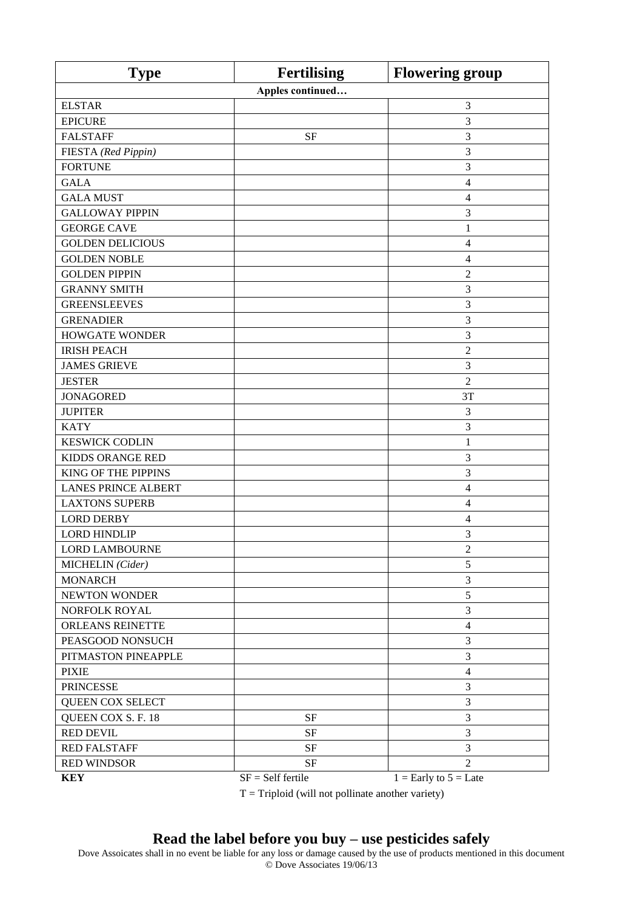| <b>Type</b>                | <b>Fertilising</b>  | <b>Flowering group</b>    |
|----------------------------|---------------------|---------------------------|
|                            | Apples continued    |                           |
| <b>ELSTAR</b>              |                     | 3                         |
| <b>EPICURE</b>             |                     | 3                         |
| <b>FALSTAFF</b>            | <b>SF</b>           | 3                         |
| FIESTA (Red Pippin)        |                     | 3                         |
| <b>FORTUNE</b>             |                     | 3                         |
| <b>GALA</b>                |                     | 4                         |
| <b>GALA MUST</b>           |                     | 4                         |
| <b>GALLOWAY PIPPIN</b>     |                     | 3                         |
| <b>GEORGE CAVE</b>         |                     | 1                         |
| <b>GOLDEN DELICIOUS</b>    |                     | 4                         |
| <b>GOLDEN NOBLE</b>        |                     | $\overline{4}$            |
| <b>GOLDEN PIPPIN</b>       |                     | $\overline{2}$            |
| <b>GRANNY SMITH</b>        |                     | 3                         |
| <b>GREENSLEEVES</b>        |                     | 3                         |
| <b>GRENADIER</b>           |                     | 3                         |
| <b>HOWGATE WONDER</b>      |                     | 3                         |
| <b>IRISH PEACH</b>         |                     | $\overline{c}$            |
| <b>JAMES GRIEVE</b>        |                     | 3                         |
| <b>JESTER</b>              |                     | $\overline{2}$            |
| <b>JONAGORED</b>           |                     | 3T                        |
| <b>JUPITER</b>             |                     | $\mathfrak{Z}$            |
| <b>KATY</b>                |                     | 3                         |
| <b>KESWICK CODLIN</b>      |                     | 1                         |
| KIDDS ORANGE RED           |                     | 3                         |
| <b>KING OF THE PIPPINS</b> |                     | 3                         |
| <b>LANES PRINCE ALBERT</b> |                     | 4                         |
| <b>LAXTONS SUPERB</b>      |                     | 4                         |
| <b>LORD DERBY</b>          |                     | 4                         |
| <b>LORD HINDLIP</b>        |                     | 3                         |
| <b>LORD LAMBOURNE</b>      |                     | 2                         |
| MICHELIN (Cider)           |                     | 5                         |
| <b>MONARCH</b>             |                     | 3                         |
| <b>NEWTON WONDER</b>       |                     | 5                         |
| NORFOLK ROYAL              |                     | 3                         |
| <b>ORLEANS REINETTE</b>    |                     | $\overline{4}$            |
| PEASGOOD NONSUCH           |                     | 3                         |
| PITMASTON PINEAPPLE        |                     | 3                         |
| <b>PIXIE</b>               |                     | $\overline{4}$            |
| <b>PRINCESSE</b>           |                     | 3                         |
| QUEEN COX SELECT           |                     | 3                         |
| QUEEN COX S. F. 18         | $\rm{SF}$           | 3                         |
| <b>RED DEVIL</b>           | <b>SF</b>           | 3                         |
| <b>RED FALSTAFF</b>        | $\rm{SF}$           | 3                         |
| <b>RED WINDSOR</b>         | <b>SF</b>           | $\overline{2}$            |
| <b>KEY</b>                 | $SF = Self$ fertile | $1 =$ Early to $5 =$ Late |

 $T = Triplot$  (will not pollinate another variety)

#### **Read the label before you buy – use pesticides safely**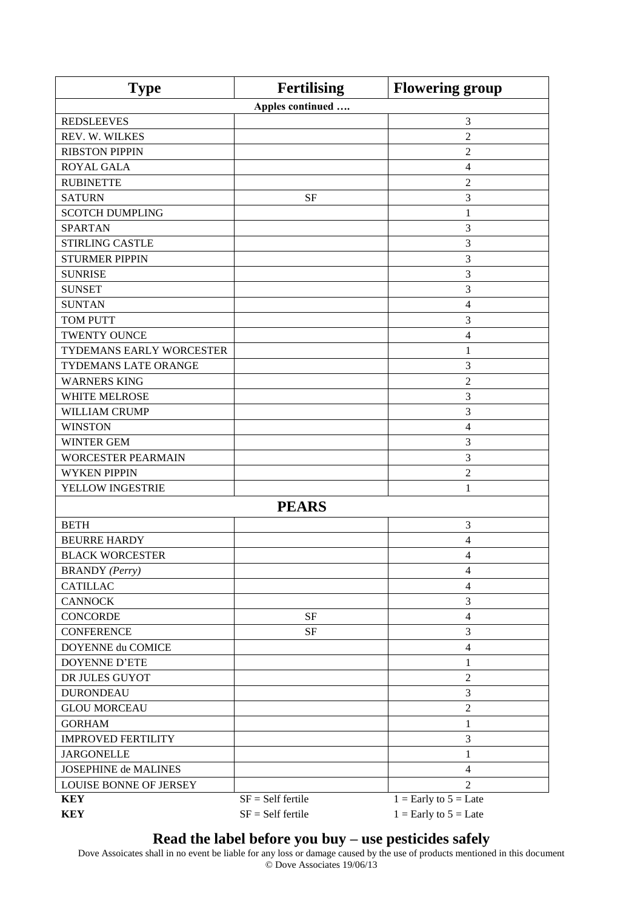| <b>Type</b>                 | <b>Fertilising</b>  | <b>Flowering group</b>    |
|-----------------------------|---------------------|---------------------------|
|                             | Apples continued    |                           |
| <b>REDSLEEVES</b>           |                     | 3                         |
| REV. W. WILKES              |                     | $\overline{2}$            |
| <b>RIBSTON PIPPIN</b>       |                     | $\overline{c}$            |
| <b>ROYAL GALA</b>           |                     | $\overline{4}$            |
| <b>RUBINETTE</b>            |                     | 2                         |
| <b>SATURN</b>               | <b>SF</b>           | 3                         |
| <b>SCOTCH DUMPLING</b>      |                     | 1                         |
| <b>SPARTAN</b>              |                     | 3                         |
| STIRLING CASTLE             |                     | 3                         |
| <b>STURMER PIPPIN</b>       |                     | 3                         |
| <b>SUNRISE</b>              |                     | 3                         |
| <b>SUNSET</b>               |                     | 3                         |
| <b>SUNTAN</b>               |                     | 4                         |
| <b>TOM PUTT</b>             |                     | 3                         |
| <b>TWENTY OUNCE</b>         |                     | $\overline{4}$            |
| TYDEMANS EARLY WORCESTER    |                     | 1                         |
| TYDEMANS LATE ORANGE        |                     | 3                         |
| <b>WARNERS KING</b>         |                     | $\boldsymbol{2}$          |
| <b>WHITE MELROSE</b>        |                     | 3                         |
| <b>WILLIAM CRUMP</b>        |                     | 3                         |
| <b>WINSTON</b>              |                     | 4                         |
| <b>WINTER GEM</b>           |                     | 3                         |
| <b>WORCESTER PEARMAIN</b>   |                     | 3                         |
| <b>WYKEN PIPPIN</b>         |                     | $\overline{2}$            |
| YELLOW INGESTRIE            |                     | 1                         |
|                             | <b>PEARS</b>        |                           |
| <b>BETH</b>                 |                     | 3                         |
| <b>BEURRE HARDY</b>         |                     | 4                         |
| <b>BLACK WORCESTER</b>      |                     | $\overline{4}$            |
| <b>BRANDY</b> (Perry)       |                     | $\overline{4}$            |
| <b>CATILLAC</b>             |                     | $\overline{4}$            |
| <b>CANNOCK</b>              |                     | 3                         |
| <b>CONCORDE</b>             | $\rm{SF}$           | $\overline{4}$            |
| <b>CONFERENCE</b>           | $\rm SF$            | 3                         |
| DOYENNE du COMICE           |                     | $\overline{4}$            |
| <b>DOYENNE D'ETE</b>        |                     | $\mathbf{1}$              |
| DR JULES GUYOT              |                     | $\sqrt{2}$                |
| <b>DURONDEAU</b>            |                     | $\mathfrak{Z}$            |
| <b>GLOU MORCEAU</b>         |                     | $\boldsymbol{2}$          |
| <b>GORHAM</b>               |                     | $\mathbf{1}$              |
| <b>IMPROVED FERTILITY</b>   |                     | 3                         |
| <b>JARGONELLE</b>           |                     | 1                         |
| <b>JOSEPHINE de MALINES</b> |                     | $\overline{4}$            |
| LOUISE BONNE OF JERSEY      |                     | $\overline{2}$            |
| <b>KEY</b>                  | $SF = Self$ fertile | $1 =$ Early to $5 =$ Late |
| <b>KEY</b>                  | $SF = Self$ fertile | $1 =$ Early to $5 =$ Late |

#### **Read the label before you buy – use pesticides safely**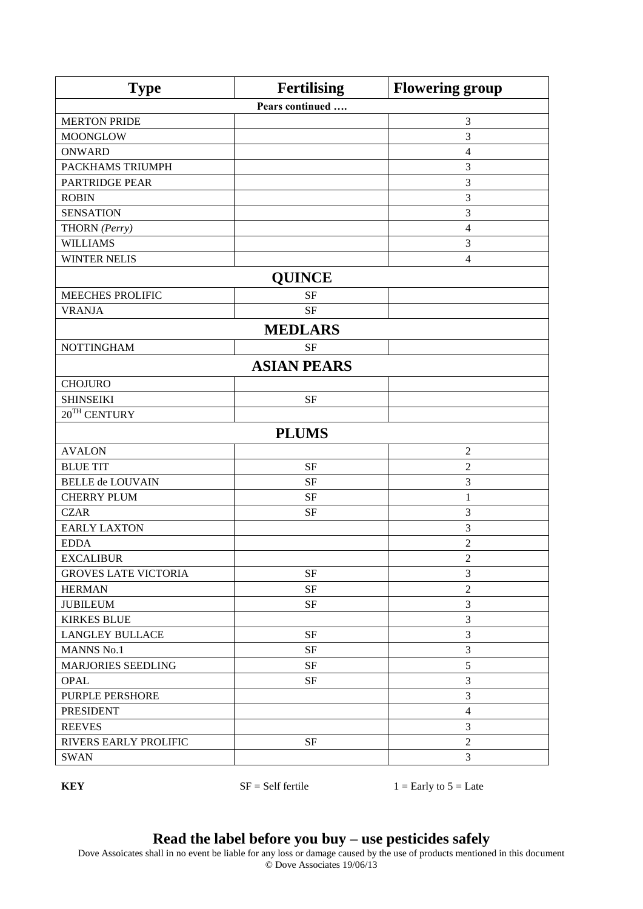| <b>Type</b>                 | <b>Fertilising</b> | <b>Flowering group</b> |
|-----------------------------|--------------------|------------------------|
|                             | Pears continued    |                        |
| <b>MERTON PRIDE</b>         |                    | $\mathfrak{Z}$         |
| <b>MOONGLOW</b>             |                    | 3                      |
| <b>ONWARD</b>               |                    | $\overline{4}$         |
| PACKHAMS TRIUMPH            |                    | $\mathfrak{Z}$         |
| <b>PARTRIDGE PEAR</b>       |                    | $\mathfrak{Z}$         |
| <b>ROBIN</b>                |                    | 3                      |
| <b>SENSATION</b>            |                    | 3                      |
| THORN (Perry)               |                    | $\overline{4}$         |
| <b>WILLIAMS</b>             |                    | $\mathfrak{Z}$         |
| <b>WINTER NELIS</b>         |                    | $\overline{4}$         |
|                             | <b>QUINCE</b>      |                        |
| <b>MEECHES PROLIFIC</b>     | <b>SF</b>          |                        |
| <b>VRANJA</b>               | <b>SF</b>          |                        |
|                             | <b>MEDLARS</b>     |                        |
| <b>NOTTINGHAM</b>           | <b>SF</b>          |                        |
|                             | <b>ASIAN PEARS</b> |                        |
| <b>CHOJURO</b>              |                    |                        |
| <b>SHINSEIKI</b>            | <b>SF</b>          |                        |
| $20^{TH}$ CENTURY           |                    |                        |
|                             | <b>PLUMS</b>       |                        |
| <b>AVALON</b>               |                    | $\sqrt{2}$             |
| <b>BLUE TIT</b>             | <b>SF</b>          | $\overline{c}$         |
| <b>BELLE de LOUVAIN</b>     | <b>SF</b>          | 3                      |
| <b>CHERRY PLUM</b>          | <b>SF</b>          | $\mathbf{1}$           |
| <b>CZAR</b>                 | <b>SF</b>          | 3                      |
| <b>EARLY LAXTON</b>         |                    | 3                      |
| <b>EDDA</b>                 |                    | $\boldsymbol{2}$       |
| <b>EXCALIBUR</b>            |                    | $\overline{c}$         |
| <b>GROVES LATE VICTORIA</b> | $\rm{SF}$          | $\mathfrak{Z}$         |
| <b>HERMAN</b>               | $\rm{SF}$          | $\sqrt{2}$             |
| <b>JUBILEUM</b>             | SF                 | $\mathfrak{Z}$         |
| <b>KIRKES BLUE</b>          |                    | $\mathfrak{Z}$         |
| <b>LANGLEY BULLACE</b>      | $\rm{SF}$          | $\mathfrak{Z}$         |
| <b>MANNS No.1</b>           | $\rm{SF}$          | $\mathfrak{Z}$         |
| MARJORIES SEEDLING          | $\rm{SF}$          | 5                      |
| <b>OPAL</b>                 | $\rm{SF}$          | 3                      |
| PURPLE PERSHORE             |                    | $\mathfrak{Z}$         |
| <b>PRESIDENT</b>            |                    | $\overline{4}$         |
| <b>REEVES</b>               |                    | 3                      |
| RIVERS EARLY PROLIFIC       | $\rm SF$           | $\overline{2}$         |
| <b>SWAN</b>                 |                    | $\mathfrak{Z}$         |

**KEY** SF = Self fertile  $1 =$  Early to  $5 =$  Late

## **Read the label before you buy – use pesticides safely**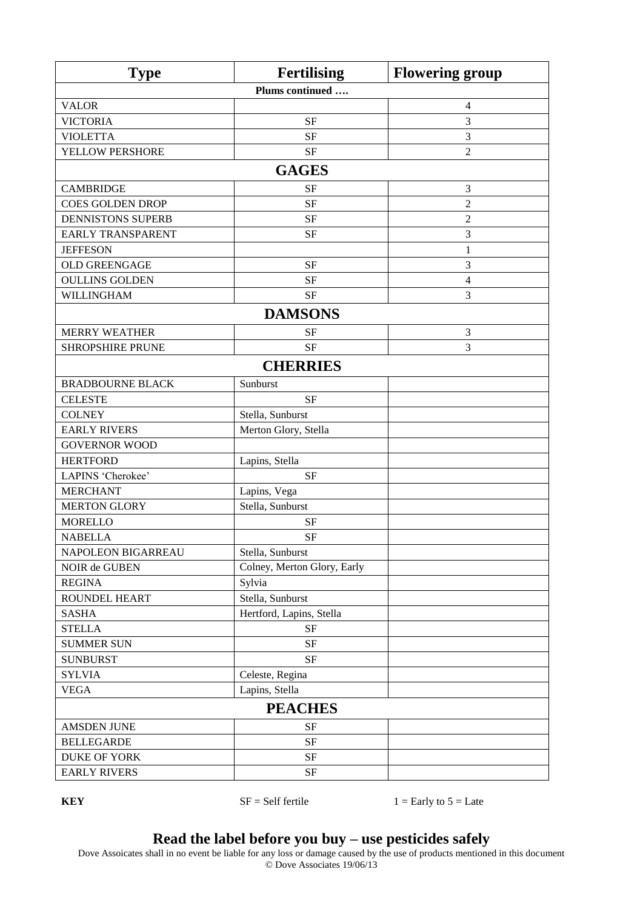| Plums continued<br><b>VALOR</b><br>$\overline{4}$<br><b>SF</b><br>3<br><b>VICTORIA</b><br>3<br><b>VIOLETTA</b><br><b>SF</b><br>YELLOW PERSHORE<br><b>SF</b><br>$\overline{2}$<br><b>GAGES</b><br><b>CAMBRIDGE</b><br><b>SF</b><br>$\mathfrak{Z}$<br>$\sqrt{2}$<br><b>COES GOLDEN DROP</b><br><b>SF</b><br>$\overline{2}$<br><b>DENNISTONS SUPERB</b><br><b>SF</b><br><b>EARLY TRANSPARENT</b><br><b>SF</b><br>$\mathfrak{Z}$<br><b>JEFFESON</b><br>$\mathbf{1}$<br><b>OLD GREENGAGE</b><br><b>SF</b><br>3<br><b>OULLINS GOLDEN</b><br><b>SF</b><br>$\overline{4}$<br>3<br>WILLINGHAM<br><b>SF</b><br><b>DAMSONS</b><br><b>MERRY WEATHER</b><br><b>SF</b><br>3<br>3<br><b>SHROPSHIRE PRUNE</b><br><b>SF</b><br><b>CHERRIES</b><br>Sunburst<br><b>BRADBOURNE BLACK</b><br><b>CELESTE</b><br><b>SF</b><br><b>COLNEY</b><br>Stella, Sunburst<br><b>EARLY RIVERS</b><br>Merton Glory, Stella<br><b>GOVERNOR WOOD</b><br><b>HERTFORD</b><br>Lapins, Stella<br><b>SF</b><br>LAPINS 'Cherokee' |
|----------------------------------------------------------------------------------------------------------------------------------------------------------------------------------------------------------------------------------------------------------------------------------------------------------------------------------------------------------------------------------------------------------------------------------------------------------------------------------------------------------------------------------------------------------------------------------------------------------------------------------------------------------------------------------------------------------------------------------------------------------------------------------------------------------------------------------------------------------------------------------------------------------------------------------------------------------------------------------------|
|                                                                                                                                                                                                                                                                                                                                                                                                                                                                                                                                                                                                                                                                                                                                                                                                                                                                                                                                                                                        |
|                                                                                                                                                                                                                                                                                                                                                                                                                                                                                                                                                                                                                                                                                                                                                                                                                                                                                                                                                                                        |
|                                                                                                                                                                                                                                                                                                                                                                                                                                                                                                                                                                                                                                                                                                                                                                                                                                                                                                                                                                                        |
|                                                                                                                                                                                                                                                                                                                                                                                                                                                                                                                                                                                                                                                                                                                                                                                                                                                                                                                                                                                        |
|                                                                                                                                                                                                                                                                                                                                                                                                                                                                                                                                                                                                                                                                                                                                                                                                                                                                                                                                                                                        |
|                                                                                                                                                                                                                                                                                                                                                                                                                                                                                                                                                                                                                                                                                                                                                                                                                                                                                                                                                                                        |
|                                                                                                                                                                                                                                                                                                                                                                                                                                                                                                                                                                                                                                                                                                                                                                                                                                                                                                                                                                                        |
|                                                                                                                                                                                                                                                                                                                                                                                                                                                                                                                                                                                                                                                                                                                                                                                                                                                                                                                                                                                        |
|                                                                                                                                                                                                                                                                                                                                                                                                                                                                                                                                                                                                                                                                                                                                                                                                                                                                                                                                                                                        |
|                                                                                                                                                                                                                                                                                                                                                                                                                                                                                                                                                                                                                                                                                                                                                                                                                                                                                                                                                                                        |
|                                                                                                                                                                                                                                                                                                                                                                                                                                                                                                                                                                                                                                                                                                                                                                                                                                                                                                                                                                                        |
|                                                                                                                                                                                                                                                                                                                                                                                                                                                                                                                                                                                                                                                                                                                                                                                                                                                                                                                                                                                        |
|                                                                                                                                                                                                                                                                                                                                                                                                                                                                                                                                                                                                                                                                                                                                                                                                                                                                                                                                                                                        |
|                                                                                                                                                                                                                                                                                                                                                                                                                                                                                                                                                                                                                                                                                                                                                                                                                                                                                                                                                                                        |
|                                                                                                                                                                                                                                                                                                                                                                                                                                                                                                                                                                                                                                                                                                                                                                                                                                                                                                                                                                                        |
|                                                                                                                                                                                                                                                                                                                                                                                                                                                                                                                                                                                                                                                                                                                                                                                                                                                                                                                                                                                        |
|                                                                                                                                                                                                                                                                                                                                                                                                                                                                                                                                                                                                                                                                                                                                                                                                                                                                                                                                                                                        |
|                                                                                                                                                                                                                                                                                                                                                                                                                                                                                                                                                                                                                                                                                                                                                                                                                                                                                                                                                                                        |
|                                                                                                                                                                                                                                                                                                                                                                                                                                                                                                                                                                                                                                                                                                                                                                                                                                                                                                                                                                                        |
|                                                                                                                                                                                                                                                                                                                                                                                                                                                                                                                                                                                                                                                                                                                                                                                                                                                                                                                                                                                        |
|                                                                                                                                                                                                                                                                                                                                                                                                                                                                                                                                                                                                                                                                                                                                                                                                                                                                                                                                                                                        |
|                                                                                                                                                                                                                                                                                                                                                                                                                                                                                                                                                                                                                                                                                                                                                                                                                                                                                                                                                                                        |
|                                                                                                                                                                                                                                                                                                                                                                                                                                                                                                                                                                                                                                                                                                                                                                                                                                                                                                                                                                                        |
|                                                                                                                                                                                                                                                                                                                                                                                                                                                                                                                                                                                                                                                                                                                                                                                                                                                                                                                                                                                        |
|                                                                                                                                                                                                                                                                                                                                                                                                                                                                                                                                                                                                                                                                                                                                                                                                                                                                                                                                                                                        |
| <b>MERCHANT</b><br>Lapins, Vega                                                                                                                                                                                                                                                                                                                                                                                                                                                                                                                                                                                                                                                                                                                                                                                                                                                                                                                                                        |
| Stella, Sunburst<br><b>MERTON GLORY</b>                                                                                                                                                                                                                                                                                                                                                                                                                                                                                                                                                                                                                                                                                                                                                                                                                                                                                                                                                |
| <b>MORELLO</b><br><b>SF</b>                                                                                                                                                                                                                                                                                                                                                                                                                                                                                                                                                                                                                                                                                                                                                                                                                                                                                                                                                            |
| <b>NABELLA</b><br><b>SF</b>                                                                                                                                                                                                                                                                                                                                                                                                                                                                                                                                                                                                                                                                                                                                                                                                                                                                                                                                                            |
| Stella, Sunburst<br>NAPOLEON BIGARREAU                                                                                                                                                                                                                                                                                                                                                                                                                                                                                                                                                                                                                                                                                                                                                                                                                                                                                                                                                 |
| Colney, Merton Glory, Early<br>NOIR de GUBEN                                                                                                                                                                                                                                                                                                                                                                                                                                                                                                                                                                                                                                                                                                                                                                                                                                                                                                                                           |
| <b>REGINA</b><br>Sylvia                                                                                                                                                                                                                                                                                                                                                                                                                                                                                                                                                                                                                                                                                                                                                                                                                                                                                                                                                                |
| Stella, Sunburst<br>ROUNDEL HEART                                                                                                                                                                                                                                                                                                                                                                                                                                                                                                                                                                                                                                                                                                                                                                                                                                                                                                                                                      |
| <b>SASHA</b><br>Hertford, Lapins, Stella                                                                                                                                                                                                                                                                                                                                                                                                                                                                                                                                                                                                                                                                                                                                                                                                                                                                                                                                               |
| <b>STELLA</b><br><b>SF</b>                                                                                                                                                                                                                                                                                                                                                                                                                                                                                                                                                                                                                                                                                                                                                                                                                                                                                                                                                             |
| <b>SUMMER SUN</b><br><b>SF</b>                                                                                                                                                                                                                                                                                                                                                                                                                                                                                                                                                                                                                                                                                                                                                                                                                                                                                                                                                         |
| <b>SUNBURST</b><br>$\rm{SF}$                                                                                                                                                                                                                                                                                                                                                                                                                                                                                                                                                                                                                                                                                                                                                                                                                                                                                                                                                           |
| <b>SYLVIA</b><br>Celeste, Regina                                                                                                                                                                                                                                                                                                                                                                                                                                                                                                                                                                                                                                                                                                                                                                                                                                                                                                                                                       |
| <b>VEGA</b><br>Lapins, Stella                                                                                                                                                                                                                                                                                                                                                                                                                                                                                                                                                                                                                                                                                                                                                                                                                                                                                                                                                          |
| <b>PEACHES</b>                                                                                                                                                                                                                                                                                                                                                                                                                                                                                                                                                                                                                                                                                                                                                                                                                                                                                                                                                                         |
| <b>AMSDEN JUNE</b><br><b>SF</b>                                                                                                                                                                                                                                                                                                                                                                                                                                                                                                                                                                                                                                                                                                                                                                                                                                                                                                                                                        |
| <b>BELLEGARDE</b><br>$\rm{SF}$                                                                                                                                                                                                                                                                                                                                                                                                                                                                                                                                                                                                                                                                                                                                                                                                                                                                                                                                                         |
| <b>DUKE OF YORK</b><br>$\rm{SF}$                                                                                                                                                                                                                                                                                                                                                                                                                                                                                                                                                                                                                                                                                                                                                                                                                                                                                                                                                       |
| <b>EARLY RIVERS</b><br>$\rm{SF}$                                                                                                                                                                                                                                                                                                                                                                                                                                                                                                                                                                                                                                                                                                                                                                                                                                                                                                                                                       |

**KEY** SF = Self fertile  $1 =$  Early to  $5 =$  Late

#### **Read the label before you buy – use pesticides safely**